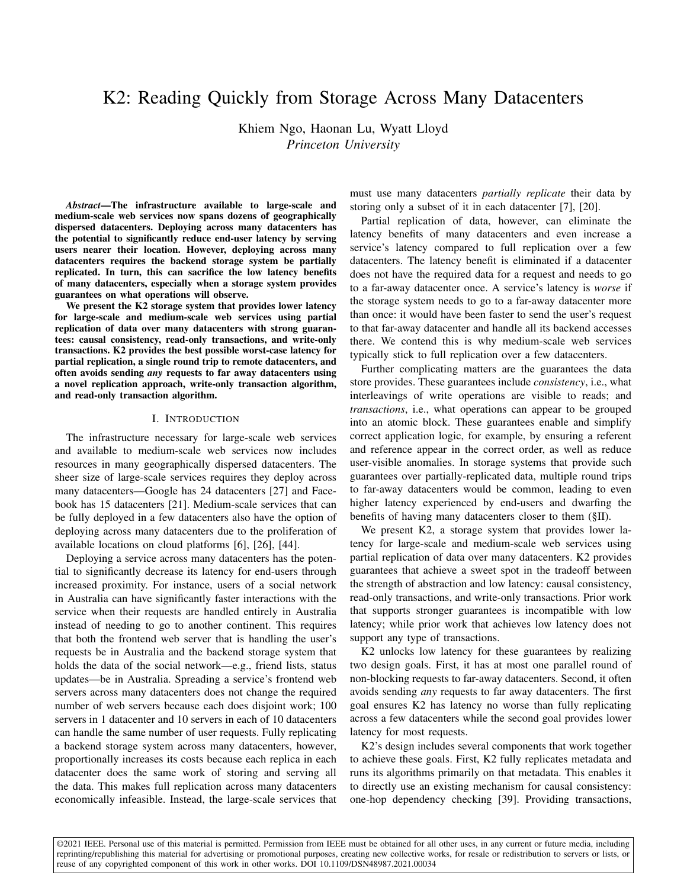# K2: Reading Quickly from Storage Across Many Datacenters

Khiem Ngo, Haonan Lu, Wyatt Lloyd *Princeton University*

*Abstract*—The infrastructure available to large-scale and medium-scale web services now spans dozens of geographically dispersed datacenters. Deploying across many datacenters has the potential to significantly reduce end-user latency by serving users nearer their location. However, deploying across many datacenters requires the backend storage system be partially replicated. In turn, this can sacrifice the low latency benefits of many datacenters, especially when a storage system provides guarantees on what operations will observe.

We present the K2 storage system that provides lower latency for large-scale and medium-scale web services using partial replication of data over many datacenters with strong guarantees: causal consistency, read-only transactions, and write-only transactions. K2 provides the best possible worst-case latency for partial replication, a single round trip to remote datacenters, and often avoids sending *any* requests to far away datacenters using a novel replication approach, write-only transaction algorithm, and read-only transaction algorithm.

# I. INTRODUCTION

The infrastructure necessary for large-scale web services and available to medium-scale web services now includes resources in many geographically dispersed datacenters. The sheer size of large-scale services requires they deploy across many datacenters—Google has 24 datacenters [\[27\]](#page-11-0) and Facebook has 15 datacenters [\[21\]](#page-11-1). Medium-scale services that can be fully deployed in a few datacenters also have the option of deploying across many datacenters due to the proliferation of available locations on cloud platforms [\[6\]](#page-11-2), [\[26\]](#page-11-3), [\[44\]](#page-11-4).

Deploying a service across many datacenters has the potential to significantly decrease its latency for end-users through increased proximity. For instance, users of a social network in Australia can have significantly faster interactions with the service when their requests are handled entirely in Australia instead of needing to go to another continent. This requires that both the frontend web server that is handling the user's requests be in Australia and the backend storage system that holds the data of the social network—e.g., friend lists, status updates—be in Australia. Spreading a service's frontend web servers across many datacenters does not change the required number of web servers because each does disjoint work; 100 servers in 1 datacenter and 10 servers in each of 10 datacenters can handle the same number of user requests. Fully replicating a backend storage system across many datacenters, however, proportionally increases its costs because each replica in each datacenter does the same work of storing and serving all the data. This makes full replication across many datacenters economically infeasible. Instead, the large-scale services that

must use many datacenters *partially replicate* their data by storing only a subset of it in each datacenter [\[7\]](#page-11-5), [\[20\]](#page-11-6).

Partial replication of data, however, can eliminate the latency benefits of many datacenters and even increase a service's latency compared to full replication over a few datacenters. The latency benefit is eliminated if a datacenter does not have the required data for a request and needs to go to a far-away datacenter once. A service's latency is *worse* if the storage system needs to go to a far-away datacenter more than once: it would have been faster to send the user's request to that far-away datacenter and handle all its backend accesses there. We contend this is why medium-scale web services typically stick to full replication over a few datacenters.

Further complicating matters are the guarantees the data store provides. These guarantees include *consistency*, i.e., what interleavings of write operations are visible to reads; and *transactions*, i.e., what operations can appear to be grouped into an atomic block. These guarantees enable and simplify correct application logic, for example, by ensuring a referent and reference appear in the correct order, as well as reduce user-visible anomalies. In storage systems that provide such guarantees over partially-replicated data, multiple round trips to far-away datacenters would be common, leading to even higher latency experienced by end-users and dwarfing the benefits of having many datacenters closer to them ([§II\)](#page-1-0).

We present K2, a storage system that provides lower latency for large-scale and medium-scale web services using partial replication of data over many datacenters. K2 provides guarantees that achieve a sweet spot in the tradeoff between the strength of abstraction and low latency: causal consistency, read-only transactions, and write-only transactions. Prior work that supports stronger guarantees is incompatible with low latency; while prior work that achieves low latency does not support any type of transactions.

K2 unlocks low latency for these guarantees by realizing two design goals. First, it has at most one parallel round of non-blocking requests to far-away datacenters. Second, it often avoids sending *any* requests to far away datacenters. The first goal ensures K2 has latency no worse than fully replicating across a few datacenters while the second goal provides lower latency for most requests.

K2's design includes several components that work together to achieve these goals. First, K2 fully replicates metadata and runs its algorithms primarily on that metadata. This enables it to directly use an existing mechanism for causal consistency: one-hop dependency checking [\[39\]](#page-11-7). Providing transactions,

©2021 IEEE. Personal use of this material is permitted. Permission from IEEE must be obtained for all other uses, in any current or future media, including reprinting/republishing this material for advertising or promotional purposes, creating new collective works, for resale or redistribution to servers or lists, or reuse of any copyrighted component of this work in other works. DOI 10.1109/DSN48987.2021.00034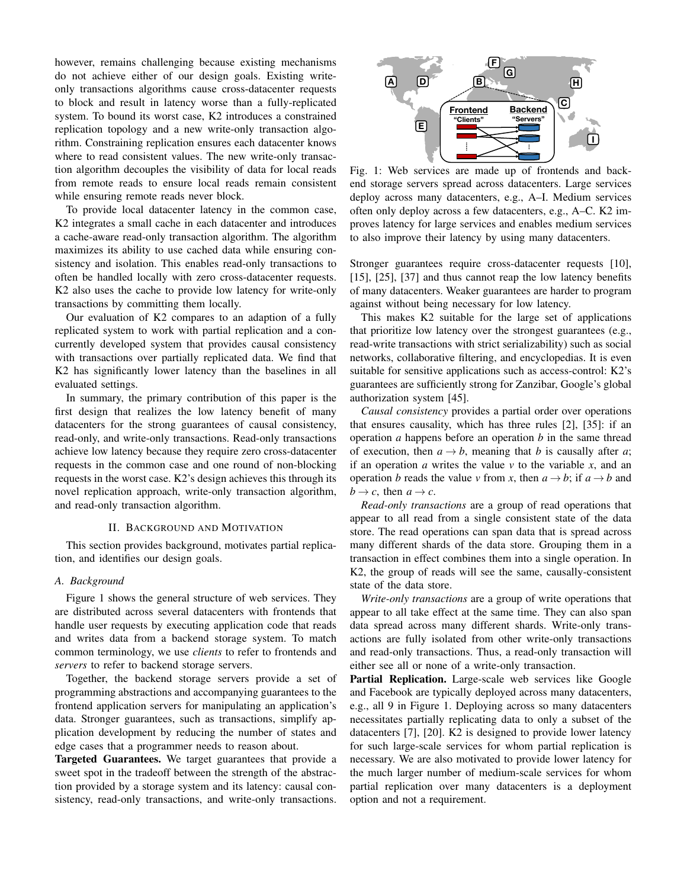however, remains challenging because existing mechanisms do not achieve either of our design goals. Existing writeonly transactions algorithms cause cross-datacenter requests to block and result in latency worse than a fully-replicated system. To bound its worst case, K2 introduces a constrained replication topology and a new write-only transaction algorithm. Constraining replication ensures each datacenter knows where to read consistent values. The new write-only transaction algorithm decouples the visibility of data for local reads from remote reads to ensure local reads remain consistent while ensuring remote reads never block.

To provide local datacenter latency in the common case, K2 integrates a small cache in each datacenter and introduces a cache-aware read-only transaction algorithm. The algorithm maximizes its ability to use cached data while ensuring consistency and isolation. This enables read-only transactions to often be handled locally with zero cross-datacenter requests. K2 also uses the cache to provide low latency for write-only transactions by committing them locally.

Our evaluation of K2 compares to an adaption of a fully replicated system to work with partial replication and a concurrently developed system that provides causal consistency with transactions over partially replicated data. We find that K2 has significantly lower latency than the baselines in all evaluated settings.

In summary, the primary contribution of this paper is the first design that realizes the low latency benefit of many datacenters for the strong guarantees of causal consistency, read-only, and write-only transactions. Read-only transactions achieve low latency because they require zero cross-datacenter requests in the common case and one round of non-blocking requests in the worst case. K2's design achieves this through its novel replication approach, write-only transaction algorithm, and read-only transaction algorithm.

## II. BACKGROUND AND MOTIVATION

<span id="page-1-0"></span>This section provides background, motivates partial replication, and identifies our design goals.

# <span id="page-1-2"></span>*A. Background*

Figure [1](#page-1-1) shows the general structure of web services. They are distributed across several datacenters with frontends that handle user requests by executing application code that reads and writes data from a backend storage system. To match common terminology, we use *clients* to refer to frontends and *servers* to refer to backend storage servers.

Together, the backend storage servers provide a set of programming abstractions and accompanying guarantees to the frontend application servers for manipulating an application's data. Stronger guarantees, such as transactions, simplify application development by reducing the number of states and edge cases that a programmer needs to reason about.

Targeted Guarantees. We target guarantees that provide a sweet spot in the tradeoff between the strength of the abstraction provided by a storage system and its latency: causal consistency, read-only transactions, and write-only transactions.

<span id="page-1-1"></span>

Fig. 1: Web services are made up of frontends and backend storage servers spread across datacenters. Large services deploy across many datacenters, e.g., A–I. Medium services often only deploy across a few datacenters, e.g., A–C. K2 improves latency for large services and enables medium services to also improve their latency by using many datacenters.

Stronger guarantees require cross-datacenter requests [\[10\]](#page-11-8), [\[15\]](#page-11-9), [\[25\]](#page-11-10), [\[37\]](#page-11-11) and thus cannot reap the low latency benefits of many datacenters. Weaker guarantees are harder to program against without being necessary for low latency.

This makes K2 suitable for the large set of applications that prioritize low latency over the strongest guarantees (e.g., read-write transactions with strict serializability) such as social networks, collaborative filtering, and encyclopedias. It is even suitable for sensitive applications such as access-control: K2's guarantees are sufficiently strong for Zanzibar, Google's global authorization system [\[45\]](#page-11-12).

*Causal consistency* provides a partial order over operations that ensures causality, which has three rules [\[2\]](#page-11-13), [\[35\]](#page-11-14): if an operation *a* happens before an operation *b* in the same thread of execution, then  $a \rightarrow b$ , meaning that *b* is causally after *a*; if an operation *a* writes the value  $\nu$  to the variable  $x$ , and an operation *b* reads the value *v* from *x*, then  $a \rightarrow b$ ; if  $a \rightarrow b$  and  $b \rightarrow c$ , then  $a \rightarrow c$ .

*Read-only transactions* are a group of read operations that appear to all read from a single consistent state of the data store. The read operations can span data that is spread across many different shards of the data store. Grouping them in a transaction in effect combines them into a single operation. In K2, the group of reads will see the same, causally-consistent state of the data store.

*Write-only transactions* are a group of write operations that appear to all take effect at the same time. They can also span data spread across many different shards. Write-only transactions are fully isolated from other write-only transactions and read-only transactions. Thus, a read-only transaction will either see all or none of a write-only transaction.

Partial Replication. Large-scale web services like Google and Facebook are typically deployed across many datacenters, e.g., all 9 in Figure [1.](#page-1-1) Deploying across so many datacenters necessitates partially replicating data to only a subset of the datacenters [\[7\]](#page-11-5), [\[20\]](#page-11-6). K2 is designed to provide lower latency for such large-scale services for whom partial replication is necessary. We are also motivated to provide lower latency for the much larger number of medium-scale services for whom partial replication over many datacenters is a deployment option and not a requirement.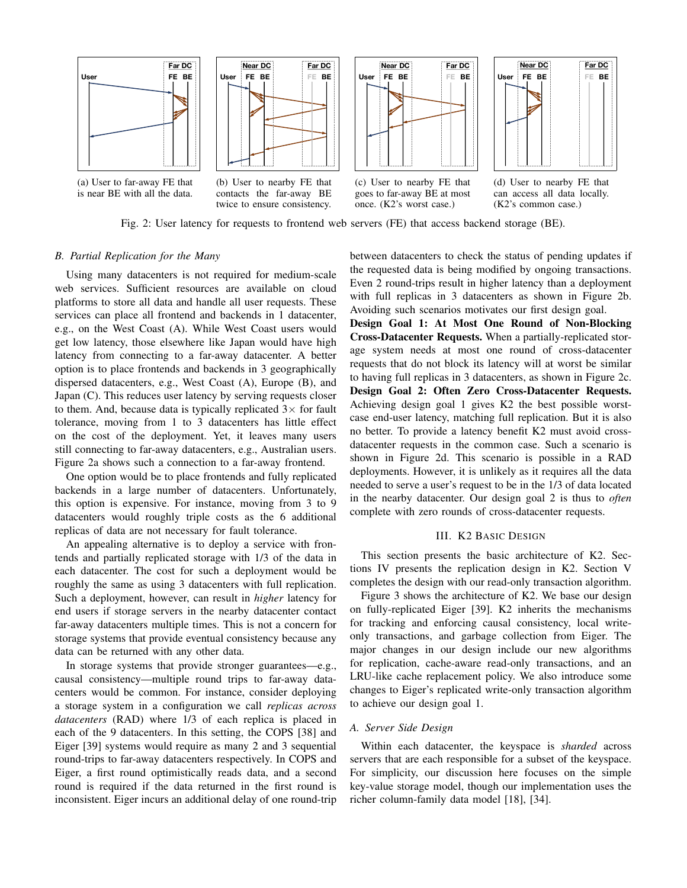<span id="page-2-0"></span>



(a) User to far-away FE that is near BE with all the data.

(b) User to nearby FE that contacts the far-away BE twice to ensure consistency.



(c) User to nearby FE that goes to far-away BE at most once. (K2's worst case.)



(d) User to nearby FE that can access all data locally. (K2's common case.)



# *B. Partial Replication for the Many*

Using many datacenters is not required for medium-scale web services. Sufficient resources are available on cloud platforms to store all data and handle all user requests. These services can place all frontend and backends in 1 datacenter, e.g., on the West Coast (A). While West Coast users would get low latency, those elsewhere like Japan would have high latency from connecting to a far-away datacenter. A better option is to place frontends and backends in 3 geographically dispersed datacenters, e.g., West Coast (A), Europe (B), and Japan (C). This reduces user latency by serving requests closer to them. And, because data is typically replicated  $3\times$  for fault tolerance, moving from 1 to 3 datacenters has little effect on the cost of the deployment. Yet, it leaves many users still connecting to far-away datacenters, e.g., Australian users. Figure [2a](#page-2-0) shows such a connection to a far-away frontend.

One option would be to place frontends and fully replicated backends in a large number of datacenters. Unfortunately, this option is expensive. For instance, moving from 3 to 9 datacenters would roughly triple costs as the 6 additional replicas of data are not necessary for fault tolerance.

An appealing alternative is to deploy a service with frontends and partially replicated storage with 1/3 of the data in each datacenter. The cost for such a deployment would be roughly the same as using 3 datacenters with full replication. Such a deployment, however, can result in *higher* latency for end users if storage servers in the nearby datacenter contact far-away datacenters multiple times. This is not a concern for storage systems that provide eventual consistency because any data can be returned with any other data.

In storage systems that provide stronger guarantees—e.g., causal consistency—multiple round trips to far-away datacenters would be common. For instance, consider deploying a storage system in a configuration we call *replicas across datacenters* (RAD) where 1/3 of each replica is placed in each of the 9 datacenters. In this setting, the COPS [\[38\]](#page-11-15) and Eiger [\[39\]](#page-11-7) systems would require as many 2 and 3 sequential round-trips to far-away datacenters respectively. In COPS and Eiger, a first round optimistically reads data, and a second round is required if the data returned in the first round is inconsistent. Eiger incurs an additional delay of one round-trip between datacenters to check the status of pending updates if the requested data is being modified by ongoing transactions. Even 2 round-trips result in higher latency than a deployment with full replicas in 3 datacenters as shown in Figure [2b.](#page-2-0) Avoiding such scenarios motivates our first design goal.

Design Goal 1: At Most One Round of Non-Blocking Cross-Datacenter Requests. When a partially-replicated storage system needs at most one round of cross-datacenter requests that do not block its latency will at worst be similar to having full replicas in 3 datacenters, as shown in Figure [2c.](#page-2-0) Design Goal 2: Often Zero Cross-Datacenter Requests. Achieving design goal 1 gives K2 the best possible worstcase end-user latency, matching full replication. But it is also no better. To provide a latency benefit K2 must avoid crossdatacenter requests in the common case. Such a scenario is shown in Figure [2d.](#page-2-0) This scenario is possible in a RAD deployments. However, it is unlikely as it requires all the data needed to serve a user's request to be in the 1/3 of data located in the nearby datacenter. Our design goal 2 is thus to *often* complete with zero rounds of cross-datacenter requests.

# III. K2 BASIC DESIGN

This section presents the basic architecture of K2. Sections [IV](#page-3-0) presents the replication design in K2. Section [V](#page-5-0) completes the design with our read-only transaction algorithm.

Figure [3](#page-3-1) shows the architecture of K2. We base our design on fully-replicated Eiger [\[39\]](#page-11-7). K2 inherits the mechanisms for tracking and enforcing causal consistency, local writeonly transactions, and garbage collection from Eiger. The major changes in our design include our new algorithms for replication, cache-aware read-only transactions, and an LRU-like cache replacement policy. We also introduce some changes to Eiger's replicated write-only transaction algorithm to achieve our design goal 1.

# *A. Server Side Design*

Within each datacenter, the keyspace is *sharded* across servers that are each responsible for a subset of the keyspace. For simplicity, our discussion here focuses on the simple key-value storage model, though our implementation uses the richer column-family data model [\[18\]](#page-11-16), [\[34\]](#page-11-17).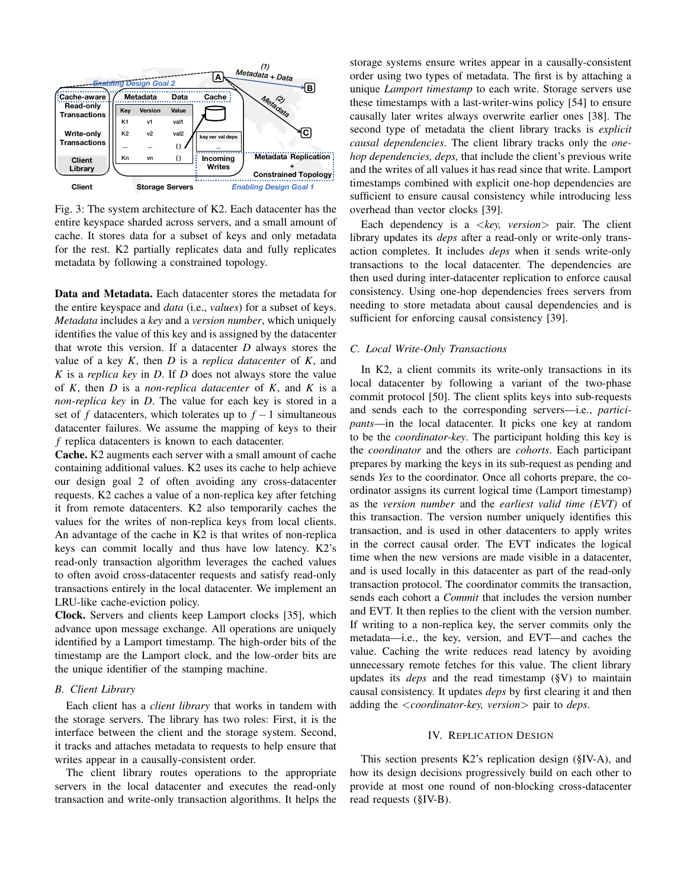<span id="page-3-1"></span>

Fig. 3: The system architecture of K2. Each datacenter has the entire keyspace sharded across servers, and a small amount of cache. It stores data for a subset of keys and only metadata for the rest. K2 partially replicates data and fully replicates metadata by following a constrained topology.

Data and Metadata. Each datacenter stores the metadata for the entire keyspace and *data* (i.e., *values*) for a subset of keys. *Metadata* includes a *key* and a *version number*, which uniquely identifies the value of this key and is assigned by the datacenter that wrote this version. If a datacenter *D* always stores the value of a key *K*, then *D* is a *replica datacenter* of *K*, and *K* is a *replica key* in *D*. If *D* does not always store the value of *K*, then *D* is a *non-replica datacenter* of *K*, and *K* is a *non-replica key* in *D*. The value for each key is stored in a set of *f* datacenters, which tolerates up to  $f - 1$  simultaneous datacenter failures. We assume the mapping of keys to their *f* replica datacenters is known to each datacenter.

Cache. K2 augments each server with a small amount of cache containing additional values. K2 uses its cache to help achieve our design goal 2 of often avoiding any cross-datacenter requests. K2 caches a value of a non-replica key after fetching it from remote datacenters. K2 also temporarily caches the values for the writes of non-replica keys from local clients. An advantage of the cache in K2 is that writes of non-replica keys can commit locally and thus have low latency. K2's read-only transaction algorithm leverages the cached values to often avoid cross-datacenter requests and satisfy read-only transactions entirely in the local datacenter. We implement an LRU-like cache-eviction policy.

Clock. Servers and clients keep Lamport clocks [\[35\]](#page-11-14), which advance upon message exchange. All operations are uniquely identified by a Lamport timestamp. The high-order bits of the timestamp are the Lamport clock, and the low-order bits are the unique identifier of the stamping machine.

# *B. Client Library*

Each client has a *client library* that works in tandem with the storage servers. The library has two roles: First, it is the interface between the client and the storage system. Second, it tracks and attaches metadata to requests to help ensure that writes appear in a causally-consistent order.

The client library routes operations to the appropriate servers in the local datacenter and executes the read-only transaction and write-only transaction algorithms. It helps the storage systems ensure writes appear in a causally-consistent order using two types of metadata. The first is by attaching a unique *Lamport timestamp* to each write. Storage servers use these timestamps with a last-writer-wins policy [\[54\]](#page-11-18) to ensure causally later writes always overwrite earlier ones [\[38\]](#page-11-15). The second type of metadata the client library tracks is *explicit causal dependencies*. The client library tracks only the *onehop dependencies, deps,* that include the client's previous write and the writes of all values it has read since that write. Lamport timestamps combined with explicit one-hop dependencies are sufficient to ensure causal consistency while introducing less overhead than vector clocks [\[39\]](#page-11-7).

Each dependency is a <*key, version*> pair. The client library updates its *deps* after a read-only or write-only transaction completes. It includes *deps* when it sends write-only transactions to the local datacenter. The dependencies are then used during inter-datacenter replication to enforce causal consistency. Using one-hop dependencies frees servers from needing to store metadata about causal dependencies and is sufficient for enforcing causal consistency [\[39\]](#page-11-7).

#### <span id="page-3-2"></span>*C. Local Write-Only Transactions*

In K2, a client commits its write-only transactions in its local datacenter by following a variant of the two-phase commit protocol [\[50\]](#page-11-19). The client splits keys into sub-requests and sends each to the corresponding servers—i.e., *participants*—in the local datacenter. It picks one key at random to be the *coordinator-key*. The participant holding this key is the *coordinator* and the others are *cohorts*. Each participant prepares by marking the keys in its sub-request as pending and sends *Yes* to the coordinator. Once all cohorts prepare, the coordinator assigns its current logical time (Lamport timestamp) as the *version number* and the *earliest valid time (EVT)* of this transaction. The version number uniquely identifies this transaction, and is used in other datacenters to apply writes in the correct causal order. The EVT indicates the logical time when the new versions are made visible in a datacenter, and is used locally in this datacenter as part of the read-only transaction protocol. The coordinator commits the transaction, sends each cohort a *Commit* that includes the version number and EVT. It then replies to the client with the version number. If writing to a non-replica key, the server commits only the metadata—i.e., the key, version, and EVT—and caches the value. Caching the write reduces read latency by avoiding unnecessary remote fetches for this value. The client library updates its *deps* and the read timestamp ([§V\)](#page-5-0) to maintain causal consistency. It updates *deps* by first clearing it and then adding the <*coordinator-key, version*> pair to *deps*.

#### IV. REPLICATION DESIGN

<span id="page-3-0"></span>This section presents K2's replication design ([§IV-A\)](#page-4-0), and how its design decisions progressively build on each other to provide at most one round of non-blocking cross-datacenter read requests ([§IV-B\)](#page-4-1).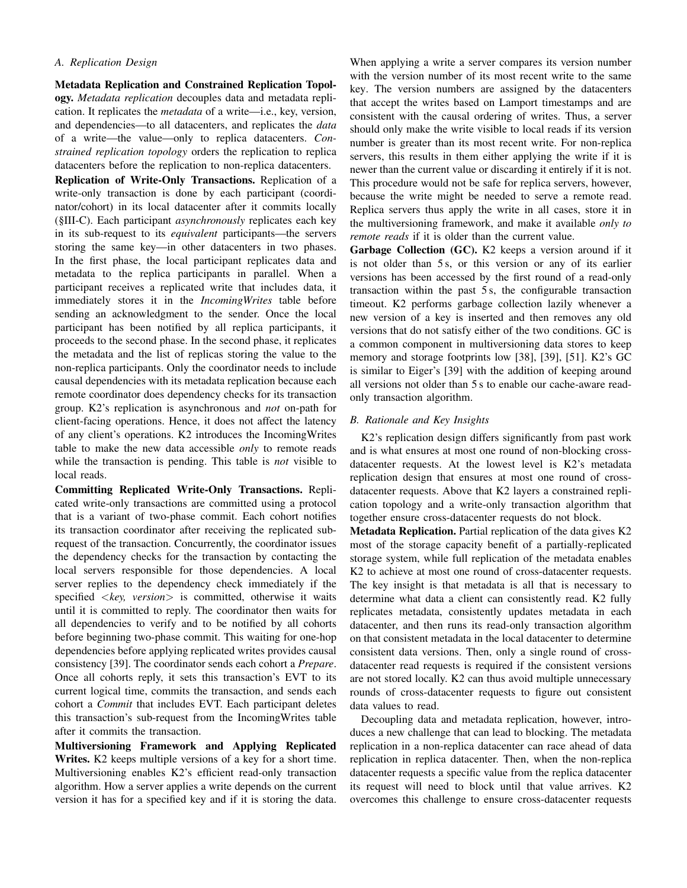# <span id="page-4-0"></span>*A. Replication Design*

Metadata Replication and Constrained Replication Topology. *Metadata replication* decouples data and metadata replication. It replicates the *metadata* of a write—i.e., key, version, and dependencies—to all datacenters, and replicates the *data* of a write—the value—only to replica datacenters. *Constrained replication topology* orders the replication to replica datacenters before the replication to non-replica datacenters.

Replication of Write-Only Transactions. Replication of a write-only transaction is done by each participant (coordinator/cohort) in its local datacenter after it commits locally ([§III-C\)](#page-3-2). Each participant *asynchronously* replicates each key in its sub-request to its *equivalent* participants—the servers storing the same key—in other datacenters in two phases. In the first phase, the local participant replicates data and metadata to the replica participants in parallel. When a participant receives a replicated write that includes data, it immediately stores it in the *IncomingWrites* table before sending an acknowledgment to the sender. Once the local participant has been notified by all replica participants, it proceeds to the second phase. In the second phase, it replicates the metadata and the list of replicas storing the value to the non-replica participants. Only the coordinator needs to include causal dependencies with its metadata replication because each remote coordinator does dependency checks for its transaction group. K2's replication is asynchronous and *not* on-path for client-facing operations. Hence, it does not affect the latency of any client's operations. K2 introduces the IncomingWrites table to make the new data accessible *only* to remote reads while the transaction is pending. This table is *not* visible to local reads.

Committing Replicated Write-Only Transactions. Replicated write-only transactions are committed using a protocol that is a variant of two-phase commit. Each cohort notifies its transaction coordinator after receiving the replicated subrequest of the transaction. Concurrently, the coordinator issues the dependency checks for the transaction by contacting the local servers responsible for those dependencies. A local server replies to the dependency check immediately if the specified <*key, version*> is committed, otherwise it waits until it is committed to reply. The coordinator then waits for all dependencies to verify and to be notified by all cohorts before beginning two-phase commit. This waiting for one-hop dependencies before applying replicated writes provides causal consistency [\[39\]](#page-11-7). The coordinator sends each cohort a *Prepare*. Once all cohorts reply, it sets this transaction's EVT to its current logical time, commits the transaction, and sends each cohort a *Commit* that includes EVT. Each participant deletes this transaction's sub-request from the IncomingWrites table after it commits the transaction.

Multiversioning Framework and Applying Replicated Writes. K2 keeps multiple versions of a key for a short time. Multiversioning enables K2's efficient read-only transaction algorithm. How a server applies a write depends on the current version it has for a specified key and if it is storing the data.

When applying a write a server compares its version number with the version number of its most recent write to the same key. The version numbers are assigned by the datacenters that accept the writes based on Lamport timestamps and are consistent with the causal ordering of writes. Thus, a server should only make the write visible to local reads if its version number is greater than its most recent write. For non-replica servers, this results in them either applying the write if it is newer than the current value or discarding it entirely if it is not. This procedure would not be safe for replica servers, however, because the write might be needed to serve a remote read. Replica servers thus apply the write in all cases, store it in the multiversioning framework, and make it available *only to remote reads* if it is older than the current value.

Garbage Collection (GC). K2 keeps a version around if it is not older than 5 s, or this version or any of its earlier versions has been accessed by the first round of a read-only transaction within the past 5 s, the configurable transaction timeout. K2 performs garbage collection lazily whenever a new version of a key is inserted and then removes any old versions that do not satisfy either of the two conditions. GC is a common component in multiversioning data stores to keep memory and storage footprints low [\[38\]](#page-11-15), [\[39\]](#page-11-7), [\[51\]](#page-11-20). K2's GC is similar to Eiger's [\[39\]](#page-11-7) with the addition of keeping around all versions not older than 5 s to enable our cache-aware readonly transaction algorithm.

# <span id="page-4-1"></span>*B. Rationale and Key Insights*

K2's replication design differs significantly from past work and is what ensures at most one round of non-blocking crossdatacenter requests. At the lowest level is K2's metadata replication design that ensures at most one round of crossdatacenter requests. Above that K2 layers a constrained replication topology and a write-only transaction algorithm that together ensure cross-datacenter requests do not block.

Metadata Replication. Partial replication of the data gives K2 most of the storage capacity benefit of a partially-replicated storage system, while full replication of the metadata enables K2 to achieve at most one round of cross-datacenter requests. The key insight is that metadata is all that is necessary to determine what data a client can consistently read. K2 fully replicates metadata, consistently updates metadata in each datacenter, and then runs its read-only transaction algorithm on that consistent metadata in the local datacenter to determine consistent data versions. Then, only a single round of crossdatacenter read requests is required if the consistent versions are not stored locally. K2 can thus avoid multiple unnecessary rounds of cross-datacenter requests to figure out consistent data values to read.

Decoupling data and metadata replication, however, introduces a new challenge that can lead to blocking. The metadata replication in a non-replica datacenter can race ahead of data replication in replica datacenter. Then, when the non-replica datacenter requests a specific value from the replica datacenter its request will need to block until that value arrives. K2 overcomes this challenge to ensure cross-datacenter requests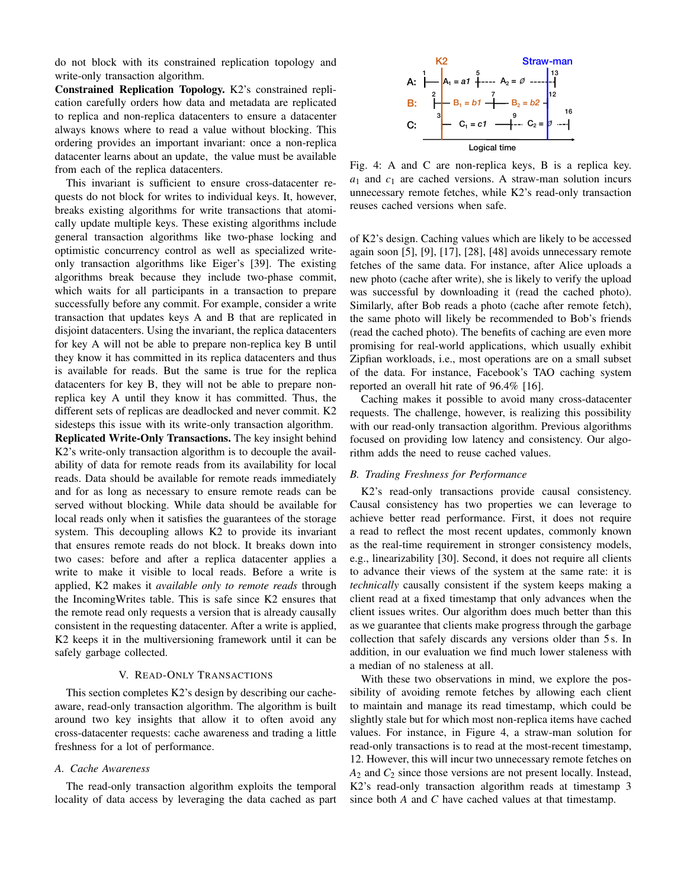do not block with its constrained replication topology and write-only transaction algorithm.

Constrained Replication Topology. K2's constrained replication carefully orders how data and metadata are replicated to replica and non-replica datacenters to ensure a datacenter always knows where to read a value without blocking. This ordering provides an important invariant: once a non-replica datacenter learns about an update, the value must be available from each of the replica datacenters.

This invariant is sufficient to ensure cross-datacenter requests do not block for writes to individual keys. It, however, breaks existing algorithms for write transactions that atomically update multiple keys. These existing algorithms include general transaction algorithms like two-phase locking and optimistic concurrency control as well as specialized writeonly transaction algorithms like Eiger's [\[39\]](#page-11-7). The existing algorithms break because they include two-phase commit, which waits for all participants in a transaction to prepare successfully before any commit. For example, consider a write transaction that updates keys A and B that are replicated in disjoint datacenters. Using the invariant, the replica datacenters for key A will not be able to prepare non-replica key B until they know it has committed in its replica datacenters and thus is available for reads. But the same is true for the replica datacenters for key B, they will not be able to prepare nonreplica key A until they know it has committed. Thus, the different sets of replicas are deadlocked and never commit. K2 sidesteps this issue with its write-only transaction algorithm. Replicated Write-Only Transactions. The key insight behind K2's write-only transaction algorithm is to decouple the availability of data for remote reads from its availability for local reads. Data should be available for remote reads immediately and for as long as necessary to ensure remote reads can be served without blocking. While data should be available for local reads only when it satisfies the guarantees of the storage system. This decoupling allows K2 to provide its invariant that ensures remote reads do not block. It breaks down into two cases: before and after a replica datacenter applies a write to make it visible to local reads. Before a write is applied, K2 makes it *available only to remote reads* through the IncomingWrites table. This is safe since K2 ensures that the remote read only requests a version that is already causally consistent in the requesting datacenter. After a write is applied, K2 keeps it in the multiversioning framework until it can be safely garbage collected.

#### V. READ-ONLY TRANSACTIONS

<span id="page-5-0"></span>This section completes K2's design by describing our cacheaware, read-only transaction algorithm. The algorithm is built around two key insights that allow it to often avoid any cross-datacenter requests: cache awareness and trading a little freshness for a lot of performance.

# *A. Cache Awareness*

The read-only transaction algorithm exploits the temporal locality of data access by leveraging the data cached as part

<span id="page-5-1"></span>

Fig. 4: A and C are non-replica keys, B is a replica key. *a*<sup>1</sup> and *c*<sup>1</sup> are cached versions. A straw-man solution incurs unnecessary remote fetches, while K2's read-only transaction reuses cached versions when safe.

of K2's design. Caching values which are likely to be accessed again soon [\[5\]](#page-11-21), [\[9\]](#page-11-22), [\[17\]](#page-11-23), [\[28\]](#page-11-24), [\[48\]](#page-11-25) avoids unnecessary remote fetches of the same data. For instance, after Alice uploads a new photo (cache after write), she is likely to verify the upload was successful by downloading it (read the cached photo). Similarly, after Bob reads a photo (cache after remote fetch), the same photo will likely be recommended to Bob's friends (read the cached photo). The benefits of caching are even more promising for real-world applications, which usually exhibit Zipfian workloads, i.e., most operations are on a small subset of the data. For instance, Facebook's TAO caching system reported an overall hit rate of 96.4% [\[16\]](#page-11-26).

Caching makes it possible to avoid many cross-datacenter requests. The challenge, however, is realizing this possibility with our read-only transaction algorithm. Previous algorithms focused on providing low latency and consistency. Our algorithm adds the need to reuse cached values.

## *B. Trading Freshness for Performance*

K2's read-only transactions provide causal consistency. Causal consistency has two properties we can leverage to achieve better read performance. First, it does not require a read to reflect the most recent updates, commonly known as the real-time requirement in stronger consistency models, e.g., linearizability [\[30\]](#page-11-27). Second, it does not require all clients to advance their views of the system at the same rate: it is *technically* causally consistent if the system keeps making a client read at a fixed timestamp that only advances when the client issues writes. Our algorithm does much better than this as we guarantee that clients make progress through the garbage collection that safely discards any versions older than 5 s. In addition, in our evaluation we find much lower staleness with a median of no staleness at all.

With these two observations in mind, we explore the possibility of avoiding remote fetches by allowing each client to maintain and manage its read timestamp, which could be slightly stale but for which most non-replica items have cached values. For instance, in Figure [4,](#page-5-1) a straw-man solution for read-only transactions is to read at the most-recent timestamp, 12. However, this will incur two unnecessary remote fetches on *A*<sup>2</sup> and *C*<sup>2</sup> since those versions are not present locally. Instead, K2's read-only transaction algorithm reads at timestamp 3 since both *A* and *C* have cached values at that timestamp.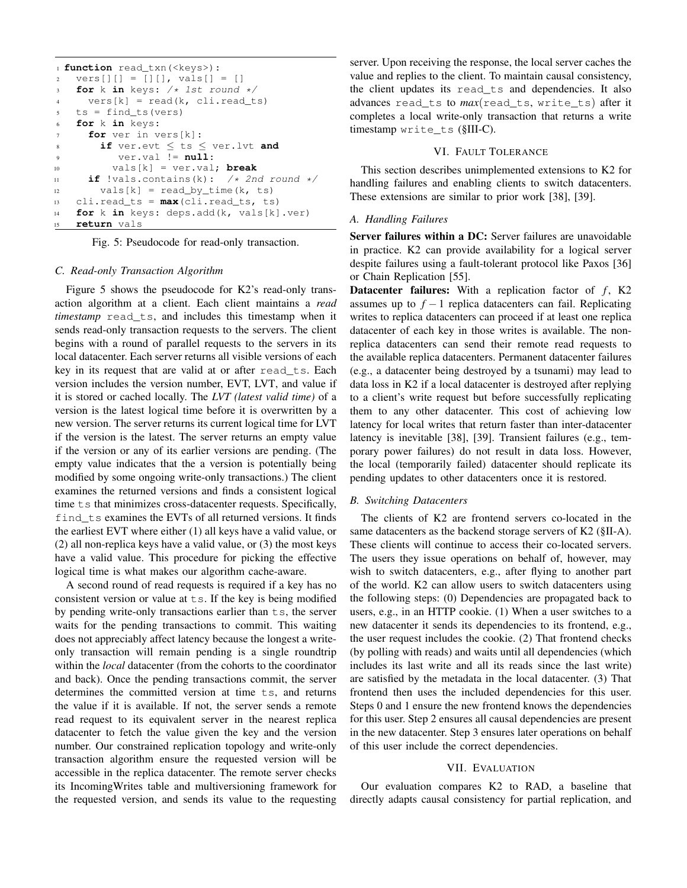```
1 function read_txn(<keys>):
2 \text{ vers}[][] = [][], \text{vals}[] = []3 for k in keys: /* 1st round */
4 vers[k] = read(k, cli.read_ts)
5 ts = find_ts(vers)
6 for k in keys:
     for ver in vers[k]:
8 if ver.evt ≤ ts ≤ ver.lvt and
          9 ver.val != null:
10 vals[k] = ver.val; break
11 if !vals.contains(k): /* 2nd round */
vals[k] = read_by_time(k, ts)13 cli.read_ts = max(cli.read_ts, ts)
14 for k in keys: deps.add(k, vals[k].ver)
15 return vals
```
Fig. 5: Pseudocode for read-only transaction.

#### *C. Read-only Transaction Algorithm*

Figure [5](#page-6-0) shows the pseudocode for K2's read-only transaction algorithm at a client. Each client maintains a *read timestamp* read\_ts, and includes this timestamp when it sends read-only transaction requests to the servers. The client begins with a round of parallel requests to the servers in its local datacenter. Each server returns all visible versions of each key in its request that are valid at or after read\_ts. Each version includes the version number, EVT, LVT, and value if it is stored or cached locally. The *LVT (latest valid time)* of a version is the latest logical time before it is overwritten by a new version. The server returns its current logical time for LVT if the version is the latest. The server returns an empty value if the version or any of its earlier versions are pending. (The empty value indicates that the a version is potentially being modified by some ongoing write-only transactions.) The client examines the returned versions and finds a consistent logical time ts that minimizes cross-datacenter requests. Specifically, find ts examines the EVTs of all returned versions. It finds the earliest EVT where either (1) all keys have a valid value, or (2) all non-replica keys have a valid value, or (3) the most keys have a valid value. This procedure for picking the effective logical time is what makes our algorithm cache-aware.

A second round of read requests is required if a key has no consistent version or value at  $ts$ . If the key is being modified by pending write-only transactions earlier than  $\pm s$ , the server waits for the pending transactions to commit. This waiting does not appreciably affect latency because the longest a writeonly transaction will remain pending is a single roundtrip within the *local* datacenter (from the cohorts to the coordinator and back). Once the pending transactions commit, the server determines the committed version at time ts, and returns the value if it is available. If not, the server sends a remote read request to its equivalent server in the nearest replica datacenter to fetch the value given the key and the version number. Our constrained replication topology and write-only transaction algorithm ensure the requested version will be accessible in the replica datacenter. The remote server checks its IncomingWrites table and multiversioning framework for the requested version, and sends its value to the requesting

server. Upon receiving the response, the local server caches the value and replies to the client. To maintain causal consistency, the client updates its read\_ts and dependencies. It also advances read\_ts to *max*(read\_ts, write\_ts) after it completes a local write-only transaction that returns a write timestamp write\_ts ([§III-C\)](#page-3-2).

# VI. FAULT TOLERANCE

This section describes unimplemented extensions to K2 for handling failures and enabling clients to switch datacenters. These extensions are similar to prior work [\[38\]](#page-11-15), [\[39\]](#page-11-7).

#### *A. Handling Failures*

Server failures within a DC: Server failures are unavoidable in practice. K2 can provide availability for a logical server despite failures using a fault-tolerant protocol like Paxos [\[36\]](#page-11-28) or Chain Replication [\[55\]](#page-12-0).

**Datacenter failures:** With a replication factor of  $f$ , K2 assumes up to  $f - 1$  replica datacenters can fail. Replicating writes to replica datacenters can proceed if at least one replica datacenter of each key in those writes is available. The nonreplica datacenters can send their remote read requests to the available replica datacenters. Permanent datacenter failures (e.g., a datacenter being destroyed by a tsunami) may lead to data loss in K2 if a local datacenter is destroyed after replying to a client's write request but before successfully replicating them to any other datacenter. This cost of achieving low latency for local writes that return faster than inter-datacenter latency is inevitable [\[38\]](#page-11-15), [\[39\]](#page-11-7). Transient failures (e.g., temporary power failures) do not result in data loss. However, the local (temporarily failed) datacenter should replicate its pending updates to other datacenters once it is restored.

#### <span id="page-6-1"></span>*B. Switching Datacenters*

The clients of K2 are frontend servers co-located in the same datacenters as the backend storage servers of K2 ([§II-A\)](#page-1-2). These clients will continue to access their co-located servers. The users they issue operations on behalf of, however, may wish to switch datacenters, e.g., after flying to another part of the world. K2 can allow users to switch datacenters using the following steps: (0) Dependencies are propagated back to users, e.g., in an HTTP cookie. (1) When a user switches to a new datacenter it sends its dependencies to its frontend, e.g., the user request includes the cookie. (2) That frontend checks (by polling with reads) and waits until all dependencies (which includes its last write and all its reads since the last write) are satisfied by the metadata in the local datacenter. (3) That frontend then uses the included dependencies for this user. Steps 0 and 1 ensure the new frontend knows the dependencies for this user. Step 2 ensures all causal dependencies are present in the new datacenter. Step 3 ensures later operations on behalf of this user include the correct dependencies.

#### VII. EVALUATION

Our evaluation compares K2 to RAD, a baseline that directly adapts causal consistency for partial replication, and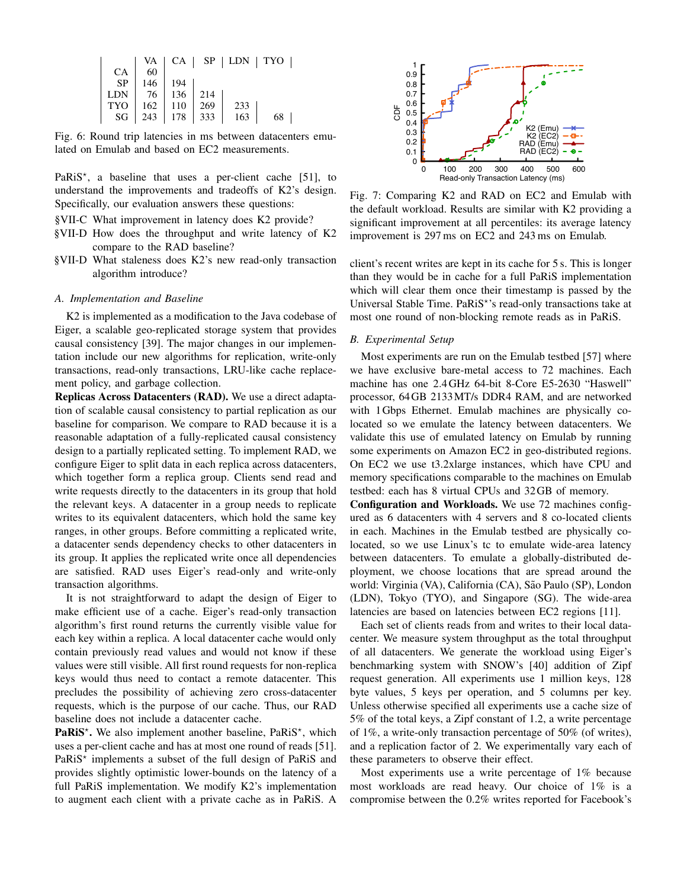<span id="page-7-0"></span>

|            | VA  |     |     |     | $CA$   SP   LDN   TYO |  |
|------------|-----|-----|-----|-----|-----------------------|--|
| <b>CA</b>  | 60  |     |     |     |                       |  |
| <b>SP</b>  | 146 | 194 |     |     |                       |  |
| <b>LDN</b> | -76 | 136 | 214 |     |                       |  |
| <b>TYO</b> | 162 | 110 | 269 | 233 |                       |  |
| SG         | 243 | 178 | 333 | 163 | 68                    |  |

Fig. 6: Round trip latencies in ms between datacenters emulated on Emulab and based on EC2 measurements.

PaRiS<sup>\*</sup>, a baseline that uses a per-client cache [\[51\]](#page-11-20), to understand the improvements and tradeoffs of K2's design. Specifically, our evaluation answers these questions:

- [§VII-C](#page-8-0) What improvement in latency does K2 provide?
- [§VII-D](#page-9-0) How does the throughput and write latency of K2 compare to the RAD baseline?
- [§VII-D](#page-9-0) What staleness does K2's new read-only transaction algorithm introduce?

# *A. Implementation and Baseline*

K2 is implemented as a modification to the Java codebase of Eiger, a scalable geo-replicated storage system that provides causal consistency [\[39\]](#page-11-7). The major changes in our implementation include our new algorithms for replication, write-only transactions, read-only transactions, LRU-like cache replacement policy, and garbage collection.

Replicas Across Datacenters (RAD). We use a direct adaptation of scalable causal consistency to partial replication as our baseline for comparison. We compare to RAD because it is a reasonable adaptation of a fully-replicated causal consistency design to a partially replicated setting. To implement RAD, we configure Eiger to split data in each replica across datacenters, which together form a replica group. Clients send read and write requests directly to the datacenters in its group that hold the relevant keys. A datacenter in a group needs to replicate writes to its equivalent datacenters, which hold the same key ranges, in other groups. Before committing a replicated write, a datacenter sends dependency checks to other datacenters in its group. It applies the replicated write once all dependencies are satisfied. RAD uses Eiger's read-only and write-only transaction algorithms.

It is not straightforward to adapt the design of Eiger to make efficient use of a cache. Eiger's read-only transaction algorithm's first round returns the currently visible value for each key within a replica. A local datacenter cache would only contain previously read values and would not know if these values were still visible. All first round requests for non-replica keys would thus need to contact a remote datacenter. This precludes the possibility of achieving zero cross-datacenter requests, which is the purpose of our cache. Thus, our RAD baseline does not include a datacenter cache.

PaRiS<sup>\*</sup>. We also implement another baseline, PaRiS<sup>\*</sup>, which uses a per-client cache and has at most one round of reads [\[51\]](#page-11-20). PaRiS<sup>\*</sup> implements a subset of the full design of PaRiS and provides slightly optimistic lower-bounds on the latency of a full PaRiS implementation. We modify K2's implementation to augment each client with a private cache as in PaRiS. A

<span id="page-7-1"></span>

Fig. 7: Comparing K2 and RAD on EC2 and Emulab with the default workload. Results are similar with K2 providing a significant improvement at all percentiles: its average latency improvement is 297 ms on EC2 and 243 ms on Emulab.

client's recent writes are kept in its cache for 5 s. This is longer than they would be in cache for a full PaRiS implementation which will clear them once their timestamp is passed by the Universal Stable Time. PaRiS\*'s read-only transactions take at most one round of non-blocking remote reads as in PaRiS.

#### *B. Experimental Setup*

Most experiments are run on the Emulab testbed [\[57\]](#page-12-1) where we have exclusive bare-metal access to 72 machines. Each machine has one 2.4GHz 64-bit 8-Core E5-2630 "Haswell" processor, 64GB 2133MT/s DDR4 RAM, and are networked with 1Gbps Ethernet. Emulab machines are physically colocated so we emulate the latency between datacenters. We validate this use of emulated latency on Emulab by running some experiments on Amazon EC2 in geo-distributed regions. On EC2 we use t3.2xlarge instances, which have CPU and memory specifications comparable to the machines on Emulab testbed: each has 8 virtual CPUs and 32GB of memory.

Configuration and Workloads. We use 72 machines configured as 6 datacenters with 4 servers and 8 co-located clients in each. Machines in the Emulab testbed are physically colocated, so we use Linux's tc to emulate wide-area latency between datacenters. To emulate a globally-distributed deployment, we choose locations that are spread around the world: Virginia (VA), California (CA), São Paulo (SP), London (LDN), Tokyo (TYO), and Singapore (SG). The wide-area latencies are based on latencies between EC2 regions [\[11\]](#page-11-29).

Each set of clients reads from and writes to their local datacenter. We measure system throughput as the total throughput of all datacenters. We generate the workload using Eiger's benchmarking system with SNOW's [\[40\]](#page-11-30) addition of Zipf request generation. All experiments use 1 million keys, 128 byte values, 5 keys per operation, and 5 columns per key. Unless otherwise specified all experiments use a cache size of 5% of the total keys, a Zipf constant of 1.2, a write percentage of 1%, a write-only transaction percentage of 50% (of writes), and a replication factor of 2. We experimentally vary each of these parameters to observe their effect.

Most experiments use a write percentage of 1% because most workloads are read heavy. Our choice of 1% is a compromise between the 0.2% writes reported for Facebook's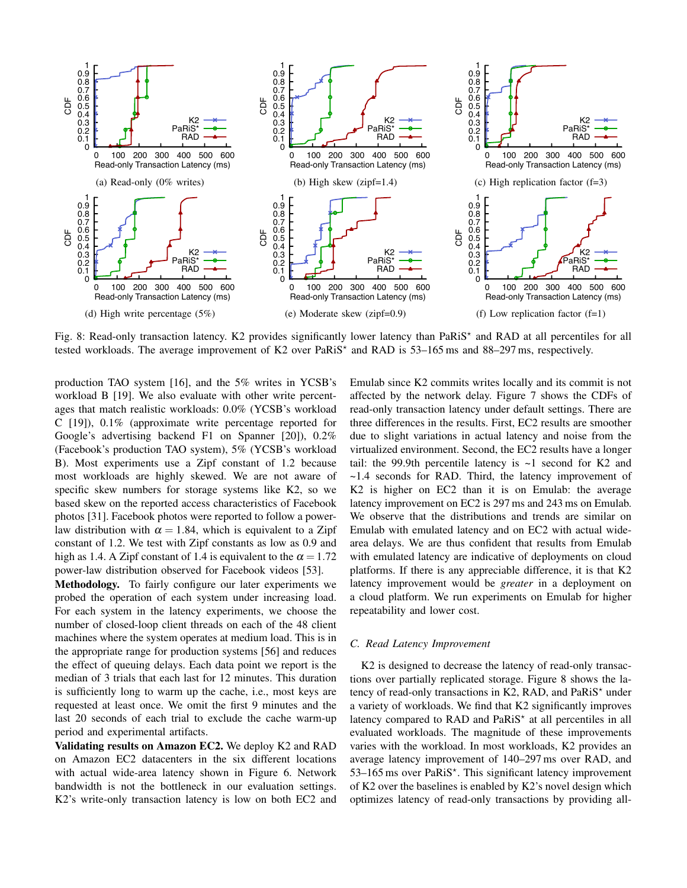<span id="page-8-1"></span>

Fig. 8: Read-only transaction latency. K2 provides significantly lower latency than PaRiS<sup>\*</sup> and RAD at all percentiles for all tested workloads. The average improvement of K2 over PaRiS<sup>\*</sup> and RAD is 53–165 ms and 88–297 ms, respectively.

production TAO system [\[16\]](#page-11-26), and the 5% writes in YCSB's workload B [\[19\]](#page-11-31). We also evaluate with other write percentages that match realistic workloads: 0.0% (YCSB's workload C [\[19\]](#page-11-31)), 0.1% (approximate write percentage reported for Google's advertising backend F1 on Spanner [\[20\]](#page-11-6)), 0.2% (Facebook's production TAO system), 5% (YCSB's workload B). Most experiments use a Zipf constant of 1.2 because most workloads are highly skewed. We are not aware of specific skew numbers for storage systems like K2, so we based skew on the reported access characteristics of Facebook photos [\[31\]](#page-11-32). Facebook photos were reported to follow a powerlaw distribution with  $\alpha = 1.84$ , which is equivalent to a Zipf constant of 1.2. We test with Zipf constants as low as 0.9 and high as 1.4. A Zipf constant of 1.4 is equivalent to the  $\alpha = 1.72$ power-law distribution observed for Facebook videos [\[53\]](#page-11-33).

Methodology. To fairly configure our later experiments we probed the operation of each system under increasing load. For each system in the latency experiments, we choose the number of closed-loop client threads on each of the 48 client machines where the system operates at medium load. This is in the appropriate range for production systems [\[56\]](#page-12-2) and reduces the effect of queuing delays. Each data point we report is the median of 3 trials that each last for 12 minutes. This duration is sufficiently long to warm up the cache, i.e., most keys are requested at least once. We omit the first 9 minutes and the last 20 seconds of each trial to exclude the cache warm-up period and experimental artifacts.

Validating results on Amazon EC2. We deploy K2 and RAD on Amazon EC2 datacenters in the six different locations with actual wide-area latency shown in Figure [6.](#page-7-0) Network bandwidth is not the bottleneck in our evaluation settings. K2's write-only transaction latency is low on both EC2 and Emulab since K2 commits writes locally and its commit is not affected by the network delay. Figure [7](#page-7-1) shows the CDFs of read-only transaction latency under default settings. There are three differences in the results. First, EC2 results are smoother due to slight variations in actual latency and noise from the virtualized environment. Second, the EC2 results have a longer tail: the 99.9th percentile latency is  $\sim$ 1 second for K2 and ~1.4 seconds for RAD. Third, the latency improvement of K2 is higher on EC2 than it is on Emulab: the average latency improvement on EC2 is 297 ms and 243 ms on Emulab. We observe that the distributions and trends are similar on Emulab with emulated latency and on EC2 with actual widearea delays. We are thus confident that results from Emulab with emulated latency are indicative of deployments on cloud platforms. If there is any appreciable difference, it is that K2 latency improvement would be *greater* in a deployment on a cloud platform. We run experiments on Emulab for higher repeatability and lower cost.

# <span id="page-8-0"></span>*C. Read Latency Improvement*

K2 is designed to decrease the latency of read-only transactions over partially replicated storage. Figure [8](#page-8-1) shows the latency of read-only transactions in K2, RAD, and  $PaRiS<sup>*</sup>$  under a variety of workloads. We find that K2 significantly improves latency compared to RAD and PaRiS<sup>\*</sup> at all percentiles in all evaluated workloads. The magnitude of these improvements varies with the workload. In most workloads, K2 provides an average latency improvement of 140–297 ms over RAD, and 53-165 ms over PaRiS<sup>\*</sup>. This significant latency improvement of K2 over the baselines is enabled by K2's novel design which optimizes latency of read-only transactions by providing all-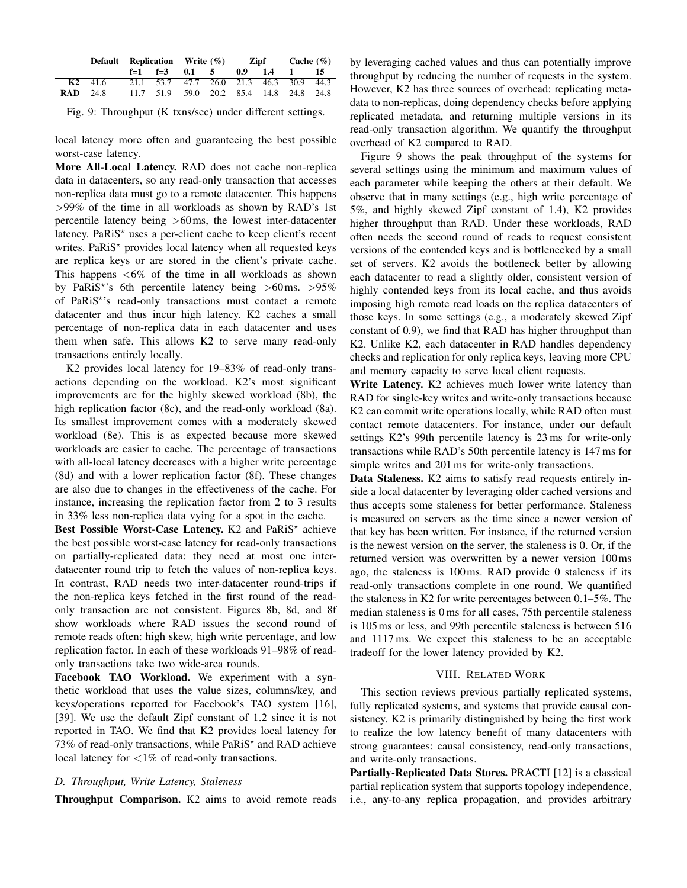<span id="page-9-1"></span>

|                     |                  | Default Replication Write (%) Zipf Cache (%) |                                         |  |  |  |  |  |  |
|---------------------|------------------|----------------------------------------------|-----------------------------------------|--|--|--|--|--|--|
|                     |                  |                                              | $f=1$ $f=3$ 0.1 5 0.9 1.4 1 15          |  |  |  |  |  |  |
|                     | <b>K2</b>   41.6 |                                              | 21.1 53.7 47.7 26.0 21.3 46.3 30.9 44.3 |  |  |  |  |  |  |
| $\mathbf{RAD}$ 24.8 |                  |                                              | 11.7 51.9 59.0 20.2 85.4 14.8 24.8 24.8 |  |  |  |  |  |  |

Fig. 9: Throughput (K txns/sec) under different settings.

local latency more often and guaranteeing the best possible worst-case latency.

More All-Local Latency. RAD does not cache non-replica data in datacenters, so any read-only transaction that accesses non-replica data must go to a remote datacenter. This happens >99% of the time in all workloads as shown by RAD's 1st percentile latency being >60ms, the lowest inter-datacenter latency. Pa $RiS^*$  uses a per-client cache to keep client's recent writes. Pa $RiS^*$  provides local latency when all requested keys are replica keys or are stored in the client's private cache. This happens  $<6\%$  of the time in all workloads as shown by PaRiS<sup>\*</sup>'s 6th percentile latency being  $>60$  ms.  $>95\%$ of PaRiS\*'s read-only transactions must contact a remote datacenter and thus incur high latency. K2 caches a small percentage of non-replica data in each datacenter and uses them when safe. This allows K2 to serve many read-only transactions entirely locally.

K2 provides local latency for 19–83% of read-only transactions depending on the workload. K2's most significant improvements are for the highly skewed workload [\(8b\)](#page-8-1), the high replication factor [\(8c\)](#page-8-1), and the read-only workload [\(8a\)](#page-8-1). Its smallest improvement comes with a moderately skewed workload [\(8e\)](#page-8-1). This is as expected because more skewed workloads are easier to cache. The percentage of transactions with all-local latency decreases with a higher write percentage [\(8d\)](#page-8-1) and with a lower replication factor [\(8f\)](#page-8-1). These changes are also due to changes in the effectiveness of the cache. For instance, increasing the replication factor from 2 to 3 results in 33% less non-replica data vying for a spot in the cache.

Best Possible Worst-Case Latency. K2 and PaRiS\* achieve the best possible worst-case latency for read-only transactions on partially-replicated data: they need at most one interdatacenter round trip to fetch the values of non-replica keys. In contrast, RAD needs two inter-datacenter round-trips if the non-replica keys fetched in the first round of the readonly transaction are not consistent. Figures [8b, 8d,](#page-8-1) and [8f](#page-8-1) show workloads where RAD issues the second round of remote reads often: high skew, high write percentage, and low replication factor. In each of these workloads 91–98% of readonly transactions take two wide-area rounds.

Facebook TAO Workload. We experiment with a synthetic workload that uses the value sizes, columns/key, and keys/operations reported for Facebook's TAO system [\[16\]](#page-11-26), [\[39\]](#page-11-7). We use the default Zipf constant of 1.2 since it is not reported in TAO. We find that K2 provides local latency for 73% of read-only transactions, while PaRiS<sup>\*</sup> and RAD achieve local latency for  $\langle 1\% \rangle$  of read-only transactions.

# <span id="page-9-0"></span>*D. Throughput, Write Latency, Staleness*

Throughput Comparison. K2 aims to avoid remote reads

by leveraging cached values and thus can potentially improve throughput by reducing the number of requests in the system. However, K2 has three sources of overhead: replicating metadata to non-replicas, doing dependency checks before applying replicated metadata, and returning multiple versions in its read-only transaction algorithm. We quantify the throughput overhead of K2 compared to RAD.

Figure [9](#page-9-1) shows the peak throughput of the systems for several settings using the minimum and maximum values of each parameter while keeping the others at their default. We observe that in many settings (e.g., high write percentage of 5%, and highly skewed Zipf constant of 1.4), K2 provides higher throughput than RAD. Under these workloads, RAD often needs the second round of reads to request consistent versions of the contended keys and is bottlenecked by a small set of servers. K2 avoids the bottleneck better by allowing each datacenter to read a slightly older, consistent version of highly contended keys from its local cache, and thus avoids imposing high remote read loads on the replica datacenters of those keys. In some settings (e.g., a moderately skewed Zipf constant of 0.9), we find that RAD has higher throughput than K2. Unlike K2, each datacenter in RAD handles dependency checks and replication for only replica keys, leaving more CPU and memory capacity to serve local client requests.

Write Latency. K2 achieves much lower write latency than RAD for single-key writes and write-only transactions because K2 can commit write operations locally, while RAD often must contact remote datacenters. For instance, under our default settings K2's 99th percentile latency is 23 ms for write-only transactions while RAD's 50th percentile latency is 147 ms for simple writes and 201 ms for write-only transactions.

Data Staleness. K2 aims to satisfy read requests entirely inside a local datacenter by leveraging older cached versions and thus accepts some staleness for better performance. Staleness is measured on servers as the time since a newer version of that key has been written. For instance, if the returned version is the newest version on the server, the staleness is 0. Or, if the returned version was overwritten by a newer version 100ms ago, the staleness is 100ms. RAD provide 0 staleness if its read-only transactions complete in one round. We quantified the staleness in K2 for write percentages between 0.1–5%. The median staleness is 0 ms for all cases, 75th percentile staleness is 105ms or less, and 99th percentile staleness is between 516 and 1117 ms. We expect this staleness to be an acceptable tradeoff for the lower latency provided by K2.

#### VIII. RELATED WORK

This section reviews previous partially replicated systems, fully replicated systems, and systems that provide causal consistency. K2 is primarily distinguished by being the first work to realize the low latency benefit of many datacenters with strong guarantees: causal consistency, read-only transactions, and write-only transactions.

Partially-Replicated Data Stores. PRACTI [\[12\]](#page-11-34) is a classical partial replication system that supports topology independence, i.e., any-to-any replica propagation, and provides arbitrary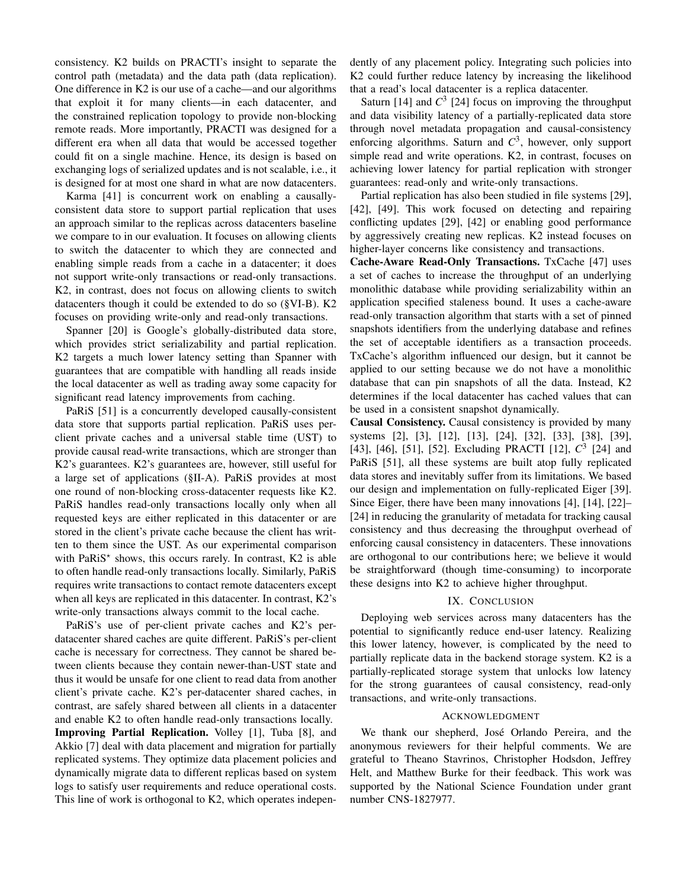consistency. K2 builds on PRACTI's insight to separate the control path (metadata) and the data path (data replication). One difference in K2 is our use of a cache—and our algorithms that exploit it for many clients—in each datacenter, and the constrained replication topology to provide non-blocking remote reads. More importantly, PRACTI was designed for a different era when all data that would be accessed together could fit on a single machine. Hence, its design is based on exchanging logs of serialized updates and is not scalable, i.e., it is designed for at most one shard in what are now datacenters.

Karma [\[41\]](#page-11-35) is concurrent work on enabling a causallyconsistent data store to support partial replication that uses an approach similar to the replicas across datacenters baseline we compare to in our evaluation. It focuses on allowing clients to switch the datacenter to which they are connected and enabling simple reads from a cache in a datacenter; it does not support write-only transactions or read-only transactions. K2, in contrast, does not focus on allowing clients to switch datacenters though it could be extended to do so ([§VI-B\)](#page-6-1). K2 focuses on providing write-only and read-only transactions.

Spanner [\[20\]](#page-11-6) is Google's globally-distributed data store, which provides strict serializability and partial replication. K2 targets a much lower latency setting than Spanner with guarantees that are compatible with handling all reads inside the local datacenter as well as trading away some capacity for significant read latency improvements from caching.

PaRiS [\[51\]](#page-11-20) is a concurrently developed causally-consistent data store that supports partial replication. PaRiS uses perclient private caches and a universal stable time (UST) to provide causal read-write transactions, which are stronger than K2's guarantees. K2's guarantees are, however, still useful for a large set of applications ([§II-A\)](#page-1-2). PaRiS provides at most one round of non-blocking cross-datacenter requests like K2. PaRiS handles read-only transactions locally only when all requested keys are either replicated in this datacenter or are stored in the client's private cache because the client has written to them since the UST. As our experimental comparison with PaRiS<sup>\*</sup> shows, this occurs rarely. In contrast,  $K2$  is able to often handle read-only transactions locally. Similarly, PaRiS requires write transactions to contact remote datacenters except when all keys are replicated in this datacenter. In contrast, K2's write-only transactions always commit to the local cache.

PaRiS's use of per-client private caches and K2's perdatacenter shared caches are quite different. PaRiS's per-client cache is necessary for correctness. They cannot be shared between clients because they contain newer-than-UST state and thus it would be unsafe for one client to read data from another client's private cache. K2's per-datacenter shared caches, in contrast, are safely shared between all clients in a datacenter and enable K2 to often handle read-only transactions locally. Improving Partial Replication. Volley [\[1\]](#page-11-36), Tuba [\[8\]](#page-11-37), and Akkio [\[7\]](#page-11-5) deal with data placement and migration for partially replicated systems. They optimize data placement policies and dynamically migrate data to different replicas based on system logs to satisfy user requirements and reduce operational costs. This line of work is orthogonal to K2, which operates independently of any placement policy. Integrating such policies into K2 could further reduce latency by increasing the likelihood that a read's local datacenter is a replica datacenter.

Saturn [\[14\]](#page-11-38) and  $C^3$  [\[24\]](#page-11-39) focus on improving the throughput and data visibility latency of a partially-replicated data store through novel metadata propagation and causal-consistency enforcing algorithms. Saturn and  $C<sup>3</sup>$ , however, only support simple read and write operations. K2, in contrast, focuses on achieving lower latency for partial replication with stronger guarantees: read-only and write-only transactions.

Partial replication has also been studied in file systems [\[29\]](#page-11-40), [\[42\]](#page-11-41), [\[49\]](#page-11-42). This work focused on detecting and repairing conflicting updates [\[29\]](#page-11-40), [\[42\]](#page-11-41) or enabling good performance by aggressively creating new replicas. K2 instead focuses on higher-layer concerns like consistency and transactions.

Cache-Aware Read-Only Transactions. TxCache [\[47\]](#page-11-43) uses a set of caches to increase the throughput of an underlying monolithic database while providing serializability within an application specified staleness bound. It uses a cache-aware read-only transaction algorithm that starts with a set of pinned snapshots identifiers from the underlying database and refines the set of acceptable identifiers as a transaction proceeds. TxCache's algorithm influenced our design, but it cannot be applied to our setting because we do not have a monolithic database that can pin snapshots of all the data. Instead, K2 determines if the local datacenter has cached values that can be used in a consistent snapshot dynamically.

Causal Consistency. Causal consistency is provided by many systems [\[2\]](#page-11-13), [\[3\]](#page-11-44), [\[12\]](#page-11-34), [\[13\]](#page-11-45), [\[24\]](#page-11-39), [\[32\]](#page-11-46), [\[33\]](#page-11-47), [\[38\]](#page-11-15), [\[39\]](#page-11-7), [\[43\]](#page-11-48), [\[46\]](#page-11-49), [\[51\]](#page-11-20), [\[52\]](#page-11-50). Excluding PRACTI [\[12\]](#page-11-34), *C* 3 [\[24\]](#page-11-39) and PaRiS [\[51\]](#page-11-20), all these systems are built atop fully replicated data stores and inevitably suffer from its limitations. We based our design and implementation on fully-replicated Eiger [\[39\]](#page-11-7). Since Eiger, there have been many innovations [\[4\]](#page-11-51), [\[14\]](#page-11-38), [\[22\]](#page-11-52)– [\[24\]](#page-11-39) in reducing the granularity of metadata for tracking causal consistency and thus decreasing the throughput overhead of enforcing causal consistency in datacenters. These innovations are orthogonal to our contributions here; we believe it would be straightforward (though time-consuming) to incorporate these designs into K2 to achieve higher throughput.

## IX. CONCLUSION

Deploying web services across many datacenters has the potential to significantly reduce end-user latency. Realizing this lower latency, however, is complicated by the need to partially replicate data in the backend storage system. K2 is a partially-replicated storage system that unlocks low latency for the strong guarantees of causal consistency, read-only transactions, and write-only transactions.

# ACKNOWLEDGMENT

We thank our shepherd, José Orlando Pereira, and the anonymous reviewers for their helpful comments. We are grateful to Theano Stavrinos, Christopher Hodsdon, Jeffrey Helt, and Matthew Burke for their feedback. This work was supported by the National Science Foundation under grant number CNS-1827977.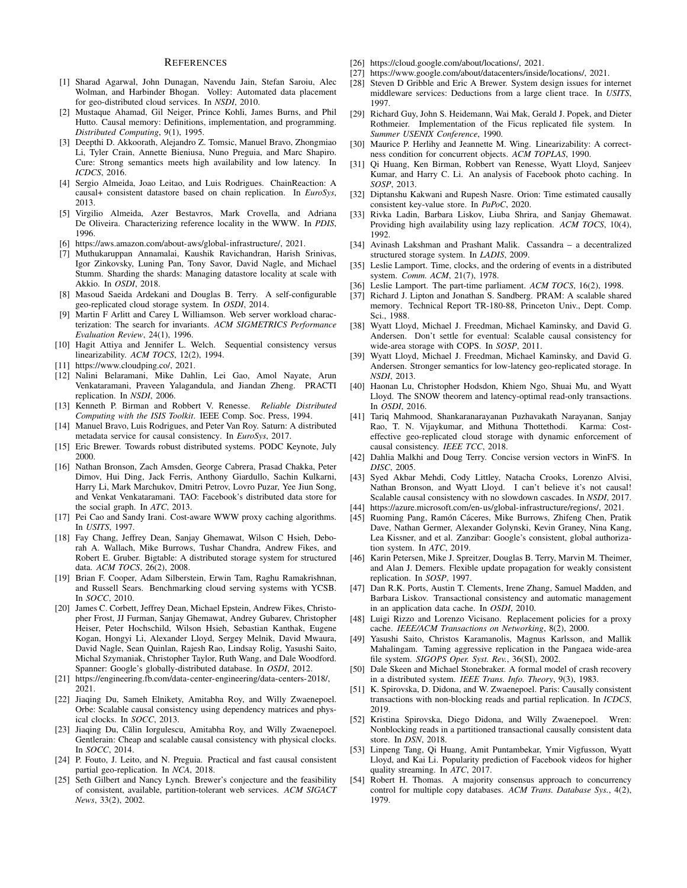#### **REFERENCES**

- <span id="page-11-36"></span>[1] Sharad Agarwal, John Dunagan, Navendu Jain, Stefan Saroiu, Alec Wolman, and Harbinder Bhogan. Volley: Automated data placement for geo-distributed cloud services. In *NSDI*, 2010.
- <span id="page-11-13"></span>[2] Mustaque Ahamad, Gil Neiger, Prince Kohli, James Burns, and Phil Hutto. Causal memory: Definitions, implementation, and programming. *Distributed Computing*, 9(1), 1995.
- <span id="page-11-44"></span>[3] Deepthi D. Akkoorath, Alejandro Z. Tomsic, Manuel Bravo, Zhongmiao Li, Tyler Crain, Annette Bieniusa, Nuno Preguia, and Marc Shapiro. Cure: Strong semantics meets high availability and low latency. In *ICDCS*, 2016.
- <span id="page-11-51"></span>[4] Sergio Almeida, Joao Leitao, and Luis Rodrigues. ChainReaction: A causal+ consistent datastore based on chain replication. In *EuroSys*, 2013.
- <span id="page-11-21"></span>[5] Virgilio Almeida, Azer Bestavros, Mark Crovella, and Adriana De Oliveira. Characterizing reference locality in the WWW. In *PDIS*, 1996.
- <span id="page-11-2"></span>[6] [https://aws.amazon.com/about-aws/global-infrastructure/,](https://aws.amazon.com/about-aws/global-infrastructure/) 2021.
- <span id="page-11-5"></span>[7] Muthukaruppan Annamalai, Kaushik Ravichandran, Harish Srinivas, Igor Zinkovsky, Luning Pan, Tony Savor, David Nagle, and Michael Stumm. Sharding the shards: Managing datastore locality at scale with Akkio. In *OSDI*, 2018.
- <span id="page-11-37"></span>[8] Masoud Saeida Ardekani and Douglas B. Terry. A self-configurable geo-replicated cloud storage system. In *OSDI*, 2014.
- <span id="page-11-22"></span>[9] Martin F Arlitt and Carey L Williamson. Web server workload characterization: The search for invariants. *ACM SIGMETRICS Performance Evaluation Review*, 24(1), 1996.
- <span id="page-11-8"></span>[10] Hagit Attiya and Jennifer L. Welch. Sequential consistency versus linearizability. *ACM TOCS*, 12(2), 1994.
- <span id="page-11-29"></span>[11] [https://www.cloudping.co/,](https://www.cloudping.co/) 2021.
- <span id="page-11-34"></span>[12] Nalini Belaramani, Mike Dahlin, Lei Gao, Amol Nayate, Arun Venkataramani, Praveen Yalagandula, and Jiandan Zheng. PRACTI replication. In *NSDI*, 2006.
- <span id="page-11-45"></span>[13] Kenneth P. Birman and Robbert V. Renesse. *Reliable Distributed Computing with the ISIS Toolkit*. IEEE Comp. Soc. Press, 1994.
- <span id="page-11-38"></span>[14] Manuel Bravo, Luis Rodrigues, and Peter Van Roy. Saturn: A distributed metadata service for causal consistency. In *EuroSys*, 2017.
- <span id="page-11-9"></span>[15] Eric Brewer. Towards robust distributed systems. PODC Keynote, July 2000.
- <span id="page-11-26"></span>[16] Nathan Bronson, Zach Amsden, George Cabrera, Prasad Chakka, Peter Dimov, Hui Ding, Jack Ferris, Anthony Giardullo, Sachin Kulkarni, Harry Li, Mark Marchukov, Dmitri Petrov, Lovro Puzar, Yee Jiun Song, and Venkat Venkataramani. TAO: Facebook's distributed data store for the social graph. In *ATC*, 2013.
- <span id="page-11-23"></span>[17] Pei Cao and Sandy Irani. Cost-aware WWW proxy caching algorithms. In *USITS*, 1997.
- <span id="page-11-16"></span>[18] Fay Chang, Jeffrey Dean, Sanjay Ghemawat, Wilson C Hsieh, Deborah A. Wallach, Mike Burrows, Tushar Chandra, Andrew Fikes, and Robert E. Gruber. Bigtable: A distributed storage system for structured data. *ACM TOCS*, 26(2), 2008.
- <span id="page-11-31"></span>[19] Brian F. Cooper, Adam Silberstein, Erwin Tam, Raghu Ramakrishnan, and Russell Sears. Benchmarking cloud serving systems with YCSB. In *SOCC*, 2010.
- <span id="page-11-6"></span>[20] James C. Corbett, Jeffrey Dean, Michael Epstein, Andrew Fikes, Christopher Frost, JJ Furman, Sanjay Ghemawat, Andrey Gubarev, Christopher Heiser, Peter Hochschild, Wilson Hsieh, Sebastian Kanthak, Eugene Kogan, Hongyi Li, Alexander Lloyd, Sergey Melnik, David Mwaura, David Nagle, Sean Quinlan, Rajesh Rao, Lindsay Rolig, Yasushi Saito, Michal Szymaniak, Christopher Taylor, Ruth Wang, and Dale Woodford. Spanner: Google's globally-distributed database. In *OSDI*, 2012.
- <span id="page-11-1"></span>[21] [https://engineering.fb.com/data-center-engineering/data-centers-2018/,](https://engineering.fb.com/data-center-engineering/data-centers-2018/) 2021.
- <span id="page-11-52"></span>[22] Jiaqing Du, Sameh Elnikety, Amitabha Roy, and Willy Zwaenepoel. Orbe: Scalable causal consistency using dependency matrices and physical clocks. In *SOCC*, 2013.
- [23] Jiaqing Du, Călin Iorgulescu, Amitabha Roy, and Willy Zwaenepoel. Gentlerain: Cheap and scalable causal consistency with physical clocks. In *SOCC*, 2014.
- <span id="page-11-39"></span>[24] P. Fouto, J. Leito, and N. Preguia. Practical and fast causal consistent partial geo-replication. In *NCA*, 2018.
- <span id="page-11-10"></span>[25] Seth Gilbert and Nancy Lynch. Brewer's conjecture and the feasibility of consistent, available, partition-tolerant web services. *ACM SIGACT News*, 33(2), 2002.
- <span id="page-11-3"></span>[26] [https://cloud.google.com/about/locations/,](https://cloud.google.com/about/locations/) 2021.
- <span id="page-11-0"></span>[27] [https://www.google.com/about/datacenters/inside/locations/,](https://www.google.com/about/datacenters/inside/locations/) 2021.
- <span id="page-11-24"></span>[28] Steven D Gribble and Eric A Brewer. System design issues for internet middleware services: Deductions from a large client trace. In *USITS*, 1997.
- <span id="page-11-40"></span>[29] Richard Guy, John S. Heidemann, Wai Mak, Gerald J. Popek, and Dieter Rothmeier. Implementation of the Ficus replicated file system. In *Summer USENIX Conference*, 1990.
- <span id="page-11-27"></span>[30] Maurice P. Herlihy and Jeannette M. Wing. Linearizability: A correctness condition for concurrent objects. *ACM TOPLAS*, 1990.
- <span id="page-11-32"></span>[31] Qi Huang, Ken Birman, Robbert van Renesse, Wyatt Lloyd, Sanjeev Kumar, and Harry C. Li. An analysis of Facebook photo caching. In *SOSP*, 2013.
- <span id="page-11-46"></span>[32] Diptanshu Kakwani and Rupesh Nasre. Orion: Time estimated causally consistent key-value store. In *PaPoC*, 2020.
- <span id="page-11-47"></span>[33] Rivka Ladin, Barbara Liskov, Liuba Shrira, and Sanjay Ghemawat. Providing high availability using lazy replication. *ACM TOCS*, 10(4), 1992.
- <span id="page-11-17"></span>[34] Avinash Lakshman and Prashant Malik. Cassandra – a decentralized structured storage system. In *LADIS*, 2009.
- <span id="page-11-14"></span>[35] Leslie Lamport. Time, clocks, and the ordering of events in a distributed system. *Comm. ACM*, 21(7), 1978.
- <span id="page-11-28"></span>[36] Leslie Lamport. The part-time parliament. *ACM TOCS*, 16(2), 1998.
- <span id="page-11-11"></span>[37] Richard J. Lipton and Jonathan S. Sandberg. PRAM: A scalable shared memory. Technical Report TR-180-88, Princeton Univ., Dept. Comp. Sci., 1988.
- <span id="page-11-15"></span>[38] Wyatt Lloyd, Michael J. Freedman, Michael Kaminsky, and David G. Andersen. Don't settle for eventual: Scalable causal consistency for wide-area storage with COPS. In *SOSP*, 2011.
- <span id="page-11-7"></span>[39] Wyatt Lloyd, Michael J. Freedman, Michael Kaminsky, and David G. Andersen. Stronger semantics for low-latency geo-replicated storage. In *NSDI*, 2013.
- <span id="page-11-30"></span>[40] Haonan Lu, Christopher Hodsdon, Khiem Ngo, Shuai Mu, and Wyatt Lloyd. The SNOW theorem and latency-optimal read-only transactions. In *OSDI*, 2016.
- <span id="page-11-35"></span>[41] Tariq Mahmood, Shankaranarayanan Puzhavakath Narayanan, Sanjay Rao, T. N. Vijaykumar, and Mithuna Thottethodi. Karma: Costeffective geo-replicated cloud storage with dynamic enforcement of causal consistency. *IEEE TCC*, 2018.
- <span id="page-11-41"></span>[42] Dahlia Malkhi and Doug Terry. Concise version vectors in WinFS. In *DISC*, 2005.
- <span id="page-11-48"></span>[43] Syed Akbar Mehdi, Cody Littley, Natacha Crooks, Lorenzo Alvisi, Nathan Bronson, and Wyatt Lloyd. I can't believe it's not causal! Scalable causal consistency with no slowdown cascades. In *NSDI*, 2017.
- <span id="page-11-4"></span>[44] [https://azure.microsoft.com/en-us/global-infrastructure/regions/,](https://azure.microsoft.com/en-us/global-infrastructure/regions/) 2021.
- <span id="page-11-12"></span>[45] Ruoming Pang, Ramón Cáceres, Mike Burrows, Zhifeng Chen, Pratik Dave, Nathan Germer, Alexander Golynski, Kevin Graney, Nina Kang, Lea Kissner, and et al. Zanzibar: Google's consistent, global authorization system. In *ATC*, 2019.
- <span id="page-11-49"></span>[46] Karin Petersen, Mike J. Spreitzer, Douglas B. Terry, Marvin M. Theimer, and Alan J. Demers. Flexible update propagation for weakly consistent replication. In *SOSP*, 1997.
- <span id="page-11-43"></span>[47] Dan R.K. Ports, Austin T. Clements, Irene Zhang, Samuel Madden, and Barbara Liskov. Transactional consistency and automatic management in an application data cache. In *OSDI*, 2010.
- <span id="page-11-25"></span>[48] Luigi Rizzo and Lorenzo Vicisano. Replacement policies for a proxy cache. *IEEE/ACM Transactions on Networking*, 8(2), 2000.
- <span id="page-11-42"></span>[49] Yasushi Saito, Christos Karamanolis, Magnus Karlsson, and Mallik Mahalingam. Taming aggressive replication in the Pangaea wide-area file system. *SIGOPS Oper. Syst. Rev.*, 36(SI), 2002.
- <span id="page-11-19"></span>[50] Dale Skeen and Michael Stonebraker. A formal model of crash recovery in a distributed system. *IEEE Trans. Info. Theory*, 9(3), 1983.
- <span id="page-11-20"></span>[51] K. Spirovska, D. Didona, and W. Zwaenepoel. Paris: Causally consistent transactions with non-blocking reads and partial replication. In *ICDCS*, 2019.
- <span id="page-11-50"></span>[52] Kristina Spirovska, Diego Didona, and Willy Zwaenepoel. Wren: Nonblocking reads in a partitioned transactional causally consistent data store. In *DSN*, 2018.
- <span id="page-11-33"></span>[53] Linpeng Tang, Qi Huang, Amit Puntambekar, Ymir Vigfusson, Wyatt Lloyd, and Kai Li. Popularity prediction of Facebook videos for higher quality streaming. In *ATC*, 2017.
- <span id="page-11-18"></span>[54] Robert H. Thomas. A majority consensus approach to concurrency control for multiple copy databases. *ACM Trans. Database Sys.*, 4(2), 1979.